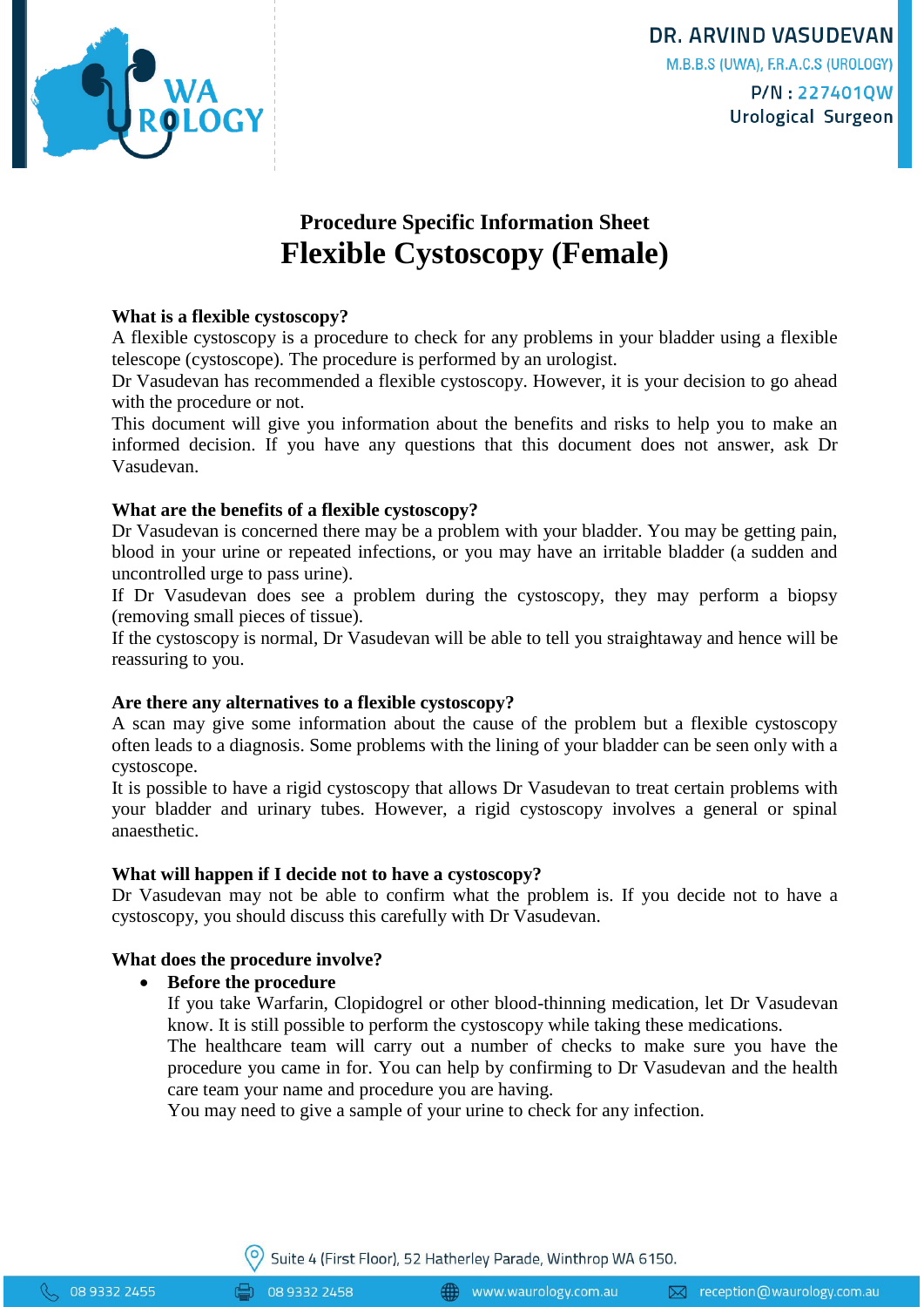

**DR. ARVIND VASUDEVAN** M.B.B.S (UWA), F.R.A.C.S (UROLOGY) P/N:227401QW Urological Surgeon

# **Procedure Specific Information Sheet Flexible Cystoscopy (Female)**

# **What is a flexible cystoscopy?**

A flexible cystoscopy is a procedure to check for any problems in your bladder using a flexible telescope (cystoscope). The procedure is performed by an urologist.

Dr Vasudevan has recommended a flexible cystoscopy. However, it is your decision to go ahead with the procedure or not.

This document will give you information about the benefits and risks to help you to make an informed decision. If you have any questions that this document does not answer, ask Dr Vasudevan.

### **What are the benefits of a flexible cystoscopy?**

Dr Vasudevan is concerned there may be a problem with your bladder. You may be getting pain, blood in your urine or repeated infections, or you may have an irritable bladder (a sudden and uncontrolled urge to pass urine).

If Dr Vasudevan does see a problem during the cystoscopy, they may perform a biopsy (removing small pieces of tissue).

If the cystoscopy is normal, Dr Vasudevan will be able to tell you straightaway and hence will be reassuring to you.

### **Are there any alternatives to a flexible cystoscopy?**

A scan may give some information about the cause of the problem but a flexible cystoscopy often leads to a diagnosis. Some problems with the lining of your bladder can be seen only with a cystoscope.

It is possible to have a rigid cystoscopy that allows Dr Vasudevan to treat certain problems with your bladder and urinary tubes. However, a rigid cystoscopy involves a general or spinal anaesthetic.

### **What will happen if I decide not to have a cystoscopy?**

Dr Vasudevan may not be able to confirm what the problem is. If you decide not to have a cystoscopy, you should discuss this carefully with Dr Vasudevan.

### **What does the procedure involve?**

### **Before the procedure**

If you take Warfarin, Clopidogrel or other blood-thinning medication, let Dr Vasudevan know. It is still possible to perform the cystoscopy while taking these medications.

The healthcare team will carry out a number of checks to make sure you have the procedure you came in for. You can help by confirming to Dr Vasudevan and the health care team your name and procedure you are having.

You may need to give a sample of your urine to check for any infection.

08 9332 2458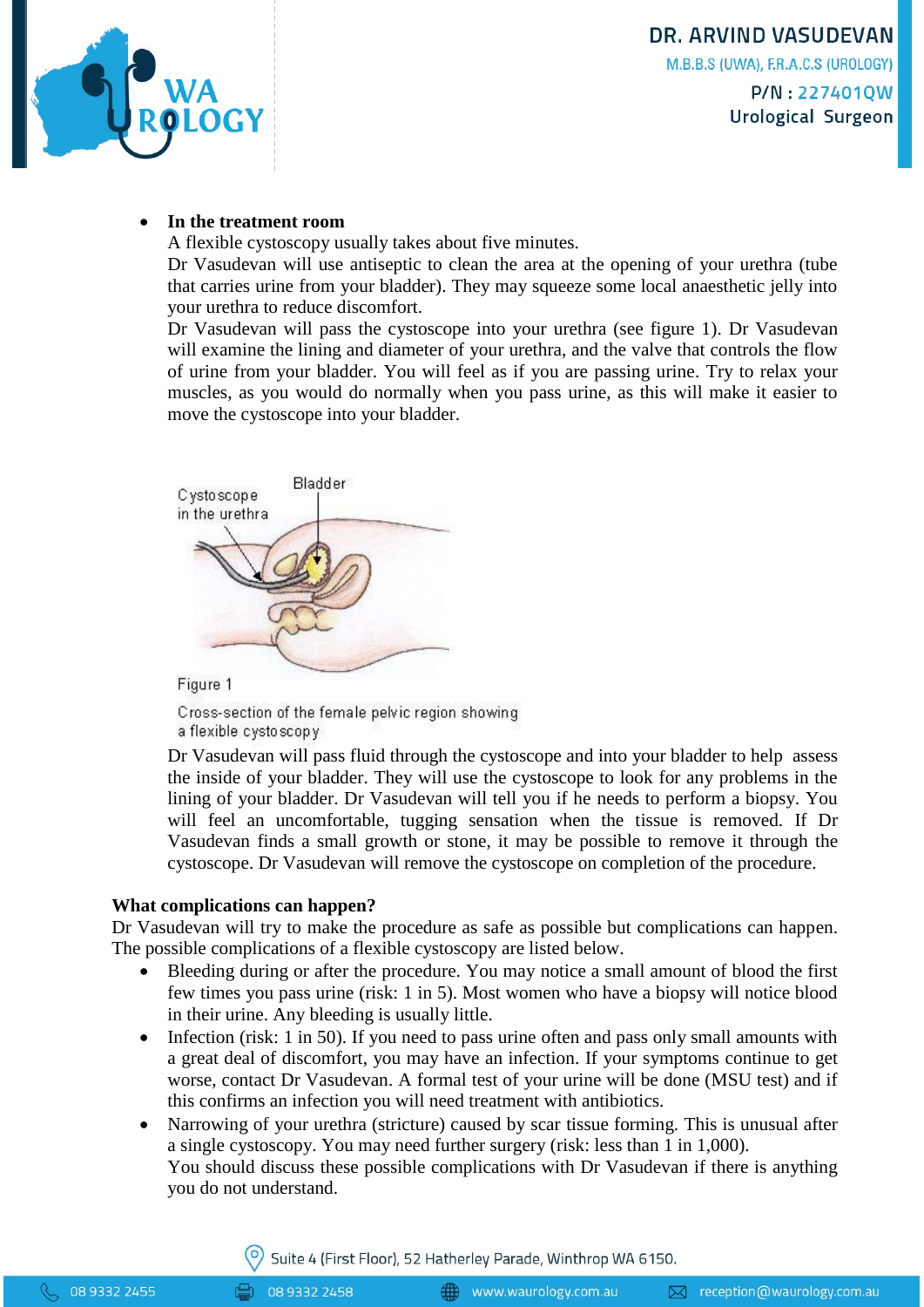

**Urological Surgeon** 

# **In the treatment room**

A flexible cystoscopy usually takes about five minutes.

Dr Vasudevan will use antiseptic to clean the area at the opening of your urethra (tube that carries urine from your bladder). They may squeeze some local anaesthetic jelly into your urethra to reduce discomfort.

Dr Vasudevan will pass the cystoscope into your urethra (see figure 1). Dr Vasudevan will examine the lining and diameter of your urethra, and the valve that controls the flow of urine from your bladder. You will feel as if you are passing urine. Try to relax your muscles, as you would do normally when you pass urine, as this will make it easier to move the cystoscope into your bladder.



Figure 1

Cross-section of the female pelvic region showing a flexible cystoscopy

Dr Vasudevan will pass fluid through the cystoscope and into your bladder to help assess the inside of your bladder. They will use the cystoscope to look for any problems in the lining of your bladder. Dr Vasudevan will tell you if he needs to perform a biopsy. You will feel an uncomfortable, tugging sensation when the tissue is removed. If Dr Vasudevan finds a small growth or stone, it may be possible to remove it through the cystoscope. Dr Vasudevan will remove the cystoscope on completion of the procedure.

### **What complications can happen?**

Dr Vasudevan will try to make the procedure as safe as possible but complications can happen. The possible complications of a flexible cystoscopy are listed below.

- Bleeding during or after the procedure. You may notice a small amount of blood the first few times you pass urine (risk: 1 in 5). Most women who have a biopsy will notice blood in their urine. Any bleeding is usually little.
- $\bullet$  Infection (risk: 1 in 50). If you need to pass urine often and pass only small amounts with a great deal of discomfort, you may have an infection. If your symptoms continue to get worse, contact Dr Vasudevan. A formal test of your urine will be done (MSU test) and if this confirms an infection you will need treatment with antibiotics.
- Narrowing of your urethra (stricture) caused by scar tissue forming. This is unusual after a single cystoscopy. You may need further surgery (risk: less than 1 in 1,000).

You should discuss these possible complications with Dr Vasudevan if there is anything you do not understand.

Suite 4 (First Floor), 52 Hatherley Parade, Winthrop WA 6150.